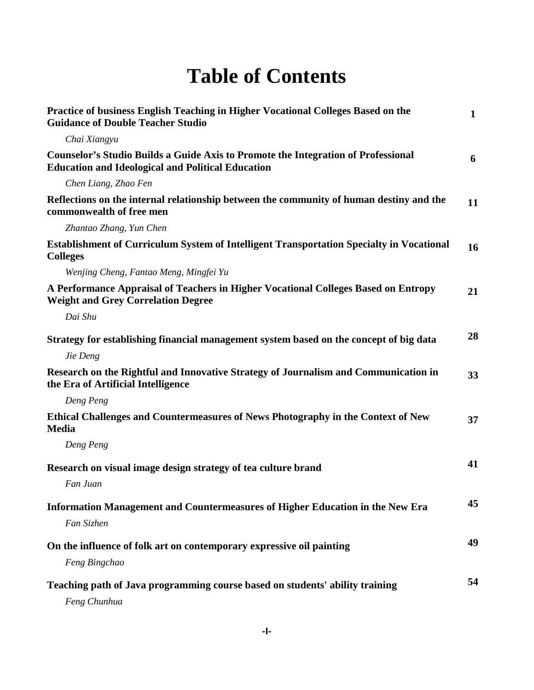## **Table of Contents**

| Practice of business English Teaching in Higher Vocational Colleges Based on the<br><b>Guidance of Double Teacher Studio</b>                         | $\mathbf{1}$ |
|------------------------------------------------------------------------------------------------------------------------------------------------------|--------------|
| Chai Xiangyu                                                                                                                                         |              |
| <b>Counselor's Studio Builds a Guide Axis to Promote the Integration of Professional</b><br><b>Education and Ideological and Political Education</b> | 6            |
| Chen Liang, Zhao Fen                                                                                                                                 |              |
| Reflections on the internal relationship between the community of human destiny and the<br>commonwealth of free men                                  | 11           |
| Zhantao Zhang, Yun Chen                                                                                                                              |              |
| <b>Establishment of Curriculum System of Intelligent Transportation Specialty in Vocational</b><br><b>Colleges</b>                                   | 16           |
| Wenjing Cheng, Fantao Meng, Mingfei Yu                                                                                                               |              |
| A Performance Appraisal of Teachers in Higher Vocational Colleges Based on Entropy<br><b>Weight and Grey Correlation Degree</b>                      | 21           |
| Dai Shu                                                                                                                                              |              |
| Strategy for establishing financial management system based on the concept of big data                                                               | 28           |
| Jie Deng                                                                                                                                             |              |
| Research on the Rightful and Innovative Strategy of Journalism and Communication in<br>the Era of Artificial Intelligence                            | 33           |
| Deng Peng                                                                                                                                            |              |
| Ethical Challenges and Countermeasures of News Photography in the Context of New<br><b>Media</b>                                                     | 37           |
| Deng Peng                                                                                                                                            |              |
| Research on visual image design strategy of tea culture brand                                                                                        | 41           |
| Fan Juan                                                                                                                                             |              |
| Information Management and Countermeasures of Higher Education in the New Era                                                                        | 45           |
| Fan Sizhen                                                                                                                                           |              |
| On the influence of folk art on contemporary expressive oil painting                                                                                 | 49           |
| Feng Bingchao                                                                                                                                        |              |
| Teaching path of Java programming course based on students' ability training                                                                         | 54           |
| Feng Chunhua                                                                                                                                         |              |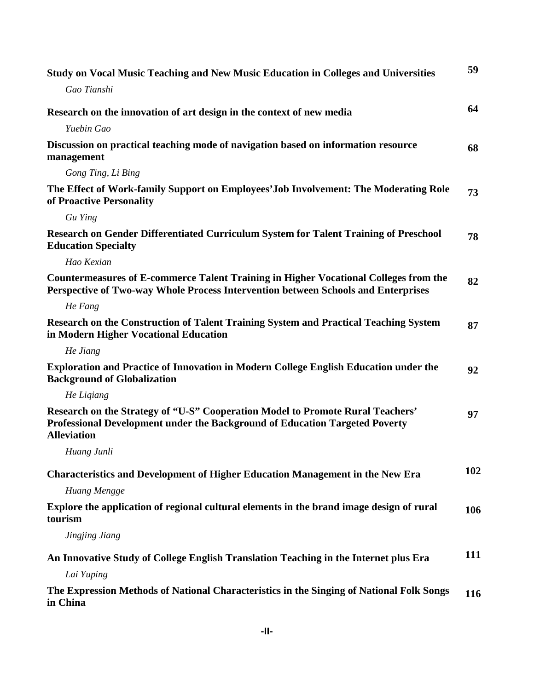| <b>Study on Vocal Music Teaching and New Music Education in Colleges and Universities</b>                                                                                           | 59  |
|-------------------------------------------------------------------------------------------------------------------------------------------------------------------------------------|-----|
| Gao Tianshi                                                                                                                                                                         |     |
| Research on the innovation of art design in the context of new media                                                                                                                | 64  |
| Yuebin Gao                                                                                                                                                                          |     |
| Discussion on practical teaching mode of navigation based on information resource<br>management                                                                                     | 68  |
| Gong Ting, Li Bing                                                                                                                                                                  |     |
| The Effect of Work-family Support on Employees' Job Involvement: The Moderating Role<br>of Proactive Personality                                                                    | 73  |
| Gu Ying                                                                                                                                                                             |     |
| Research on Gender Differentiated Curriculum System for Talent Training of Preschool<br><b>Education Specialty</b>                                                                  | 78  |
| Hao Kexian                                                                                                                                                                          |     |
| Countermeasures of E-commerce Talent Training in Higher Vocational Colleges from the<br>Perspective of Two-way Whole Process Intervention between Schools and Enterprises           | 82  |
| He Fang                                                                                                                                                                             |     |
| Research on the Construction of Talent Training System and Practical Teaching System<br>in Modern Higher Vocational Education                                                       | 87  |
| He Jiang                                                                                                                                                                            |     |
| <b>Exploration and Practice of Innovation in Modern College English Education under the</b><br><b>Background of Globalization</b>                                                   | 92  |
| He Ligiang                                                                                                                                                                          |     |
| Research on the Strategy of "U-S" Cooperation Model to Promote Rural Teachers'<br>Professional Development under the Background of Education Targeted Poverty<br><b>Alleviation</b> | 97  |
| Huang Junli                                                                                                                                                                         |     |
| <b>Characteristics and Development of Higher Education Management in the New Era</b>                                                                                                | 102 |
| Huang Mengge                                                                                                                                                                        |     |
| Explore the application of regional cultural elements in the brand image design of rural<br>tourism                                                                                 | 106 |
| Jingjing Jiang                                                                                                                                                                      |     |
| An Innovative Study of College English Translation Teaching in the Internet plus Era                                                                                                | 111 |
| Lai Yuping                                                                                                                                                                          |     |
| The Expression Methods of National Characteristics in the Singing of National Folk Songs<br>in China                                                                                | 116 |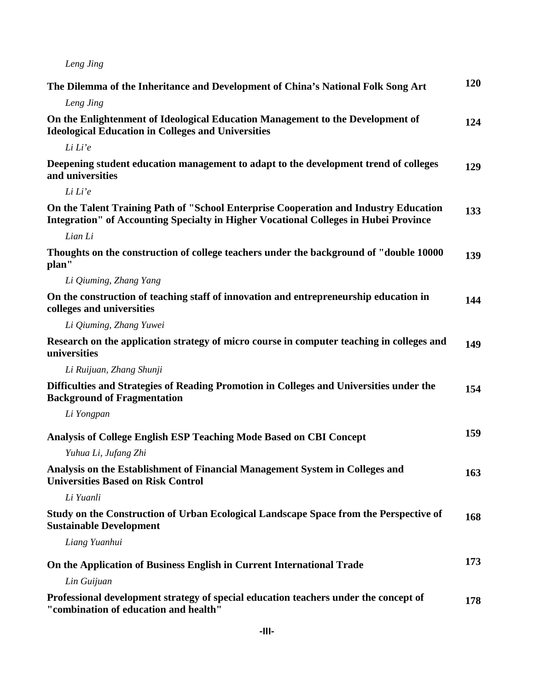*Leng Jing*

| The Dilemma of the Inheritance and Development of China's National Folk Song Art                                                                                                    | 120 |
|-------------------------------------------------------------------------------------------------------------------------------------------------------------------------------------|-----|
| Leng Jing                                                                                                                                                                           |     |
| On the Enlightenment of Ideological Education Management to the Development of<br><b>Ideological Education in Colleges and Universities</b>                                         | 124 |
| Li Li'e                                                                                                                                                                             |     |
| Deepening student education management to adapt to the development trend of colleges<br>and universities                                                                            | 129 |
| Li Li'e                                                                                                                                                                             |     |
| On the Talent Training Path of "School Enterprise Cooperation and Industry Education<br><b>Integration" of Accounting Specialty in Higher Vocational Colleges in Hubei Province</b> | 133 |
| Lian Li                                                                                                                                                                             |     |
| Thoughts on the construction of college teachers under the background of "double 10000"<br>plan"                                                                                    | 139 |
| Li Qiuming, Zhang Yang                                                                                                                                                              |     |
| On the construction of teaching staff of innovation and entrepreneurship education in<br>colleges and universities                                                                  | 144 |
| Li Qiuming, Zhang Yuwei                                                                                                                                                             |     |
| Research on the application strategy of micro course in computer teaching in colleges and<br>universities                                                                           | 149 |
| Li Ruijuan, Zhang Shunji                                                                                                                                                            |     |
| Difficulties and Strategies of Reading Promotion in Colleges and Universities under the<br><b>Background of Fragmentation</b>                                                       | 154 |
| Li Yongpan                                                                                                                                                                          |     |
| Analysis of College English ESP Teaching Mode Based on CBI Concept                                                                                                                  | 159 |
| Yuhua Li, Jufang Zhi                                                                                                                                                                |     |
| Analysis on the Establishment of Financial Management System in Colleges and<br><b>Universities Based on Risk Control</b>                                                           | 163 |
| Li Yuanli                                                                                                                                                                           |     |
| Study on the Construction of Urban Ecological Landscape Space from the Perspective of<br><b>Sustainable Development</b>                                                             | 168 |
| Liang Yuanhui                                                                                                                                                                       |     |
| On the Application of Business English in Current International Trade                                                                                                               | 173 |
| Lin Guijuan                                                                                                                                                                         |     |
| Professional development strategy of special education teachers under the concept of<br>"combination of education and health"                                                       | 178 |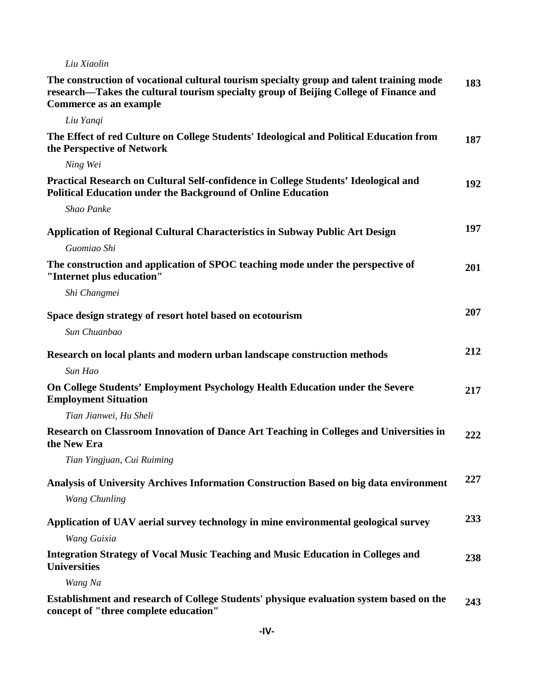## *Liu Xiaolin*

| The construction of vocational cultural tourism specialty group and talent training mode<br>research—Takes the cultural tourism specialty group of Beijing College of Finance and<br>Commerce as an example | 183 |
|-------------------------------------------------------------------------------------------------------------------------------------------------------------------------------------------------------------|-----|
| Liu Yangi                                                                                                                                                                                                   |     |
| The Effect of red Culture on College Students' Ideological and Political Education from<br>the Perspective of Network                                                                                       | 187 |
| Ning Wei                                                                                                                                                                                                    |     |
| Practical Research on Cultural Self-confidence in College Students' Ideological and<br><b>Political Education under the Background of Online Education</b>                                                  | 192 |
| Shao Panke                                                                                                                                                                                                  |     |
| <b>Application of Regional Cultural Characteristics in Subway Public Art Design</b>                                                                                                                         | 197 |
| Guomiao Shi                                                                                                                                                                                                 |     |
| The construction and application of SPOC teaching mode under the perspective of<br>"Internet plus education"                                                                                                | 201 |
| Shi Changmei                                                                                                                                                                                                |     |
| Space design strategy of resort hotel based on ecotourism                                                                                                                                                   | 207 |
| Sun Chuanbao                                                                                                                                                                                                |     |
| Research on local plants and modern urban landscape construction methods                                                                                                                                    | 212 |
| Sun Hao                                                                                                                                                                                                     |     |
| On College Students' Employment Psychology Health Education under the Severe<br><b>Employment Situation</b>                                                                                                 | 217 |
| Tian Jianwei, Hu Sheli                                                                                                                                                                                      |     |
| Research on Classroom Innovation of Dance Art Teaching in Colleges and Universities in<br>the New Era                                                                                                       | 222 |
| Tian Yingjuan, Cui Ruiming                                                                                                                                                                                  |     |
| Analysis of University Archives Information Construction Based on big data environment                                                                                                                      | 227 |
| <b>Wang Chunling</b>                                                                                                                                                                                        |     |
| Application of UAV aerial survey technology in mine environmental geological survey                                                                                                                         | 233 |
| Wang Guixia                                                                                                                                                                                                 |     |
| <b>Integration Strategy of Vocal Music Teaching and Music Education in Colleges and</b><br><b>Universities</b>                                                                                              | 238 |
| Wang Na                                                                                                                                                                                                     |     |
| Establishment and research of College Students' physique evaluation system based on the                                                                                                                     | 243 |

**concept of "three complete education"**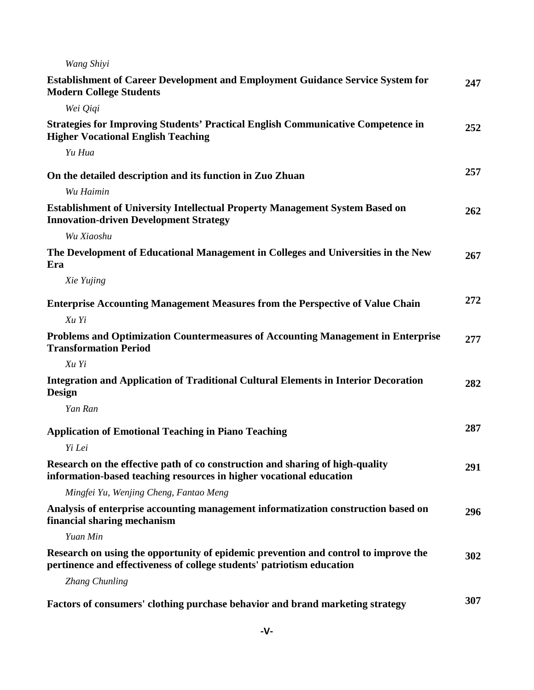| Wang Shiyi                                                                                                                                                    |     |
|---------------------------------------------------------------------------------------------------------------------------------------------------------------|-----|
| <b>Establishment of Career Development and Employment Guidance Service System for</b><br><b>Modern College Students</b>                                       | 247 |
| Wei Qiqi                                                                                                                                                      |     |
| <b>Strategies for Improving Students' Practical English Communicative Competence in</b><br><b>Higher Vocational English Teaching</b>                          | 252 |
| Yu Hua                                                                                                                                                        |     |
| On the detailed description and its function in Zuo Zhuan                                                                                                     | 257 |
| Wu Haimin                                                                                                                                                     |     |
| <b>Establishment of University Intellectual Property Management System Based on</b><br><b>Innovation-driven Development Strategy</b>                          | 262 |
| Wu Xiaoshu                                                                                                                                                    |     |
| The Development of Educational Management in Colleges and Universities in the New<br>Era                                                                      | 267 |
| Xie Yujing                                                                                                                                                    |     |
| <b>Enterprise Accounting Management Measures from the Perspective of Value Chain</b>                                                                          | 272 |
| Xu Yi                                                                                                                                                         |     |
| Problems and Optimization Countermeasures of Accounting Management in Enterprise<br><b>Transformation Period</b>                                              | 277 |
| Xu Yi                                                                                                                                                         |     |
| <b>Integration and Application of Traditional Cultural Elements in Interior Decoration</b><br><b>Design</b>                                                   | 282 |
| Yan Ran                                                                                                                                                       |     |
| <b>Application of Emotional Teaching in Piano Teaching</b>                                                                                                    | 287 |
| Yi Lei                                                                                                                                                        |     |
| Research on the effective path of co construction and sharing of high-quality<br>information-based teaching resources in higher vocational education          | 291 |
| Mingfei Yu, Wenjing Cheng, Fantao Meng                                                                                                                        |     |
| Analysis of enterprise accounting management informatization construction based on<br>financial sharing mechanism                                             | 296 |
| Yuan Min                                                                                                                                                      |     |
| Research on using the opportunity of epidemic prevention and control to improve the<br>pertinence and effectiveness of college students' patriotism education | 302 |
| <b>Zhang Chunling</b>                                                                                                                                         |     |
| Factors of consumers' clothing purchase behavior and brand marketing strategy                                                                                 | 307 |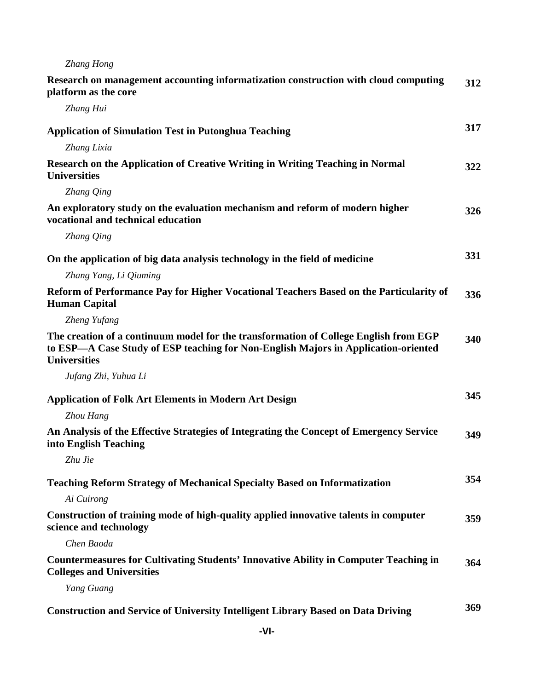| Zhang Hong                                                                                                                                                                                        |     |
|---------------------------------------------------------------------------------------------------------------------------------------------------------------------------------------------------|-----|
| Research on management accounting informatization construction with cloud computing<br>platform as the core                                                                                       | 312 |
| Zhang Hui                                                                                                                                                                                         |     |
| <b>Application of Simulation Test in Putonghua Teaching</b>                                                                                                                                       | 317 |
| Zhang Lixia                                                                                                                                                                                       |     |
| <b>Research on the Application of Creative Writing in Writing Teaching in Normal</b><br><b>Universities</b>                                                                                       | 322 |
| Zhang Qing                                                                                                                                                                                        |     |
| An exploratory study on the evaluation mechanism and reform of modern higher<br>vocational and technical education                                                                                | 326 |
| Zhang Qing                                                                                                                                                                                        |     |
| On the application of big data analysis technology in the field of medicine                                                                                                                       | 331 |
| Zhang Yang, Li Qiuming                                                                                                                                                                            |     |
| Reform of Performance Pay for Higher Vocational Teachers Based on the Particularity of<br><b>Human Capital</b>                                                                                    | 336 |
| Zheng Yufang                                                                                                                                                                                      |     |
| The creation of a continuum model for the transformation of College English from EGP<br>to ESP—A Case Study of ESP teaching for Non-English Majors in Application-oriented<br><b>Universities</b> | 340 |
| Jufang Zhi, Yuhua Li                                                                                                                                                                              |     |
| <b>Application of Folk Art Elements in Modern Art Design</b>                                                                                                                                      | 345 |
| Zhou Hang                                                                                                                                                                                         |     |
| An Analysis of the Effective Strategies of Integrating the Concept of Emergency Service<br>into English Teaching                                                                                  | 349 |
| Zhu Jie                                                                                                                                                                                           |     |
| <b>Teaching Reform Strategy of Mechanical Specialty Based on Informatization</b>                                                                                                                  | 354 |
| Ai Cuirong                                                                                                                                                                                        |     |
| Construction of training mode of high-quality applied innovative talents in computer<br>science and technology                                                                                    | 359 |
| Chen Baoda                                                                                                                                                                                        |     |
| <b>Countermeasures for Cultivating Students' Innovative Ability in Computer Teaching in</b><br><b>Colleges and Universities</b>                                                                   | 364 |
| Yang Guang                                                                                                                                                                                        |     |
| <b>Construction and Service of University Intelligent Library Based on Data Driving</b>                                                                                                           | 369 |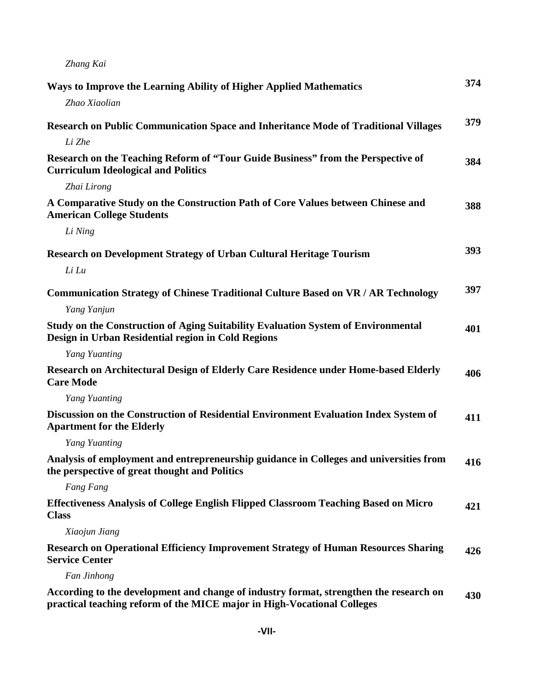*Zhang Kai*

| Ways to Improve the Learning Ability of Higher Applied Mathematics                                                                                                | 374 |
|-------------------------------------------------------------------------------------------------------------------------------------------------------------------|-----|
| Zhao Xiaolian                                                                                                                                                     |     |
| Research on Public Communication Space and Inheritance Mode of Traditional Villages                                                                               | 379 |
| Li Zhe                                                                                                                                                            |     |
| Research on the Teaching Reform of "Tour Guide Business" from the Perspective of<br><b>Curriculum Ideological and Politics</b>                                    | 384 |
| Zhai Lirong                                                                                                                                                       |     |
| A Comparative Study on the Construction Path of Core Values between Chinese and<br><b>American College Students</b>                                               | 388 |
| Li Ning                                                                                                                                                           |     |
| <b>Research on Development Strategy of Urban Cultural Heritage Tourism</b>                                                                                        | 393 |
| Li Lu                                                                                                                                                             |     |
| <b>Communication Strategy of Chinese Traditional Culture Based on VR / AR Technology</b>                                                                          | 397 |
| Yang Yanjun                                                                                                                                                       |     |
| Study on the Construction of Aging Suitability Evaluation System of Environmental<br>Design in Urban Residential region in Cold Regions                           | 401 |
| Yang Yuanting                                                                                                                                                     |     |
| Research on Architectural Design of Elderly Care Residence under Home-based Elderly<br><b>Care Mode</b>                                                           | 406 |
| Yang Yuanting                                                                                                                                                     |     |
| Discussion on the Construction of Residential Environment Evaluation Index System of<br><b>Apartment for the Elderly</b>                                          | 411 |
| Yang Yuanting                                                                                                                                                     |     |
| Analysis of employment and entrepreneurship guidance in Colleges and universities from<br>the perspective of great thought and Politics                           | 416 |
| Fang Fang                                                                                                                                                         |     |
| <b>Effectiveness Analysis of College English Flipped Classroom Teaching Based on Micro</b><br><b>Class</b>                                                        | 421 |
| Xiaojun Jiang                                                                                                                                                     |     |
| <b>Research on Operational Efficiency Improvement Strategy of Human Resources Sharing</b><br><b>Service Center</b>                                                | 426 |
| Fan Jinhong                                                                                                                                                       |     |
| According to the development and change of industry format, strengthen the research on<br>practical teaching reform of the MICE major in High-Vocational Colleges | 430 |